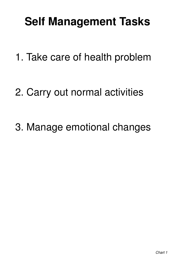#### **Self Management Tasks**

#### 1. Take care of health problem

#### 2. Carry out normal activities

#### 3. Manage emotional changes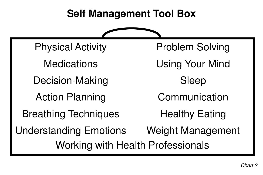# **Self Management Tool Box** Problem Solving Using Your Mind Sleep Communication Healthy Eating Weight Management

# Physical Activity Medications Decision-Making Action Planning Breathing Techniques Understanding Emotions Working with Health Professionals



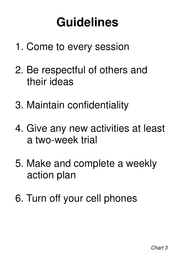#### **Guidelines**

#### 1. Come to every session

#### 2. Be respectful of others and their ideas

#### 3. Maintain confidentiality

#### 4. Give any new activities at least a two-week trial

5. Make and complete a weekly action plan

#### 6. Turn off your cell phones

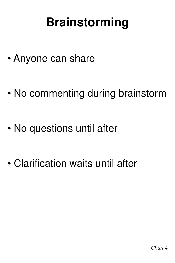#### **Brainstorming**

#### • Anyone can share

#### • No commenting during brainstorm

#### • No questions until after

#### • Clarification waits until after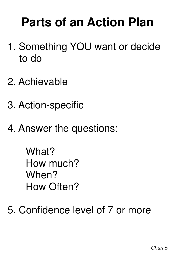#### **Parts of an Action Plan**

#### 1. Something YOU want or decide to do

#### 2. Achievable

#### 3. Action-specific

#### 4. Answer the questions:

What? How much? When?

#### How Often?

#### 5. Confidence level of 7 or more

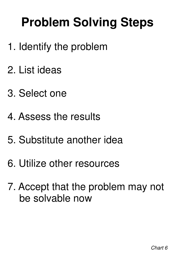## **Problem Solving Steps**

#### 1. Identify the problem

#### 2. List ideas

#### 3. Select one

#### 4. Assess the results

#### 5. Substitute another idea

#### 6. Utilize other resources

#### 7. Accept that the problem may not be solvable now

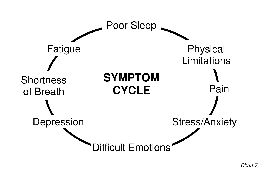#### Poor Sleep



# Fatigue Shortness of Breath Depression

#### **SYMPTOM CYCLE**

'Difficult Emotions"

# Physical Limitations Pain Stress/Anxiety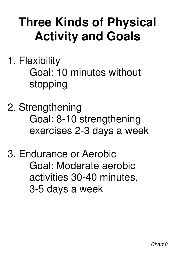## **Three Kinds of Physical Activity and Goals**

1. Flexibility Goal: 10 minutes without stopping

#### 2. Strengthening Goal: 8-10 strengthening exercises 2-3 days a week

3. Endurance or Aerobic Goal: Moderate aerobic activities 30-40 minutes,

#### 3-5 days a week

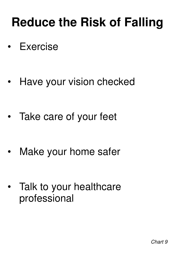### **Reduce the Risk of Falling**

#### • Exercise

#### • Have your vision checked

#### Talk to your healthcare professional

#### • Take care of your feet

#### • Make your home safer

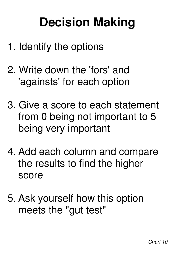### **Decision Making**

#### 1. Identify the options

2. Write down the 'fors' and 'againsts' for each option

#### 3. Give a score to each statement from 0 being not important to 5 being very important

#### 4. Add each column and compare the results to find the higher score

#### 5. Ask yourself how this option meets the "gut test"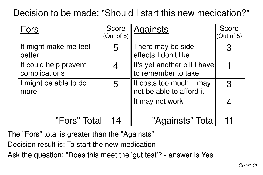#### Fors

- It might make me feel better
- It could help prevent complications
- I might be able to do more

#### "Fors" To

| Decision to be made: "Should I start this new medication?" |   |                                                         |                     |
|------------------------------------------------------------|---|---------------------------------------------------------|---------------------|
| Fors                                                       |   | Score Againsts                                          | Score<br>(Out of 5) |
| It might make me feel<br>better                            |   | There may be side<br>effects I don't like               | $\mathbf{R}$        |
| It could help prevent<br>complications                     |   | Il It's yet another pill I have<br>to remember to take  |                     |
| I might be able to do<br>more                              | 5 | Ilt costs too much. I may<br>I not be able to afford it | $\mathbf{R}$        |
|                                                            |   | I It may not work                                       |                     |
| "Fors" Totall                                              |   | "Againsts" Total                                        |                     |



The "Fors" total is greater than the "Againsts" Decision result is: To start the new medication

- 
- 
- Ask the question: "Does this meet the 'gut test'? answer is Yes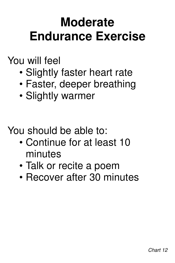#### **Moderate Endurance Exercise**

#### You will feel

- Slightly faster heart rate
- Faster, deeper breathing

#### • Slightly warmer

#### You should be able to:

- Continue for at least 10 minutes
- Talk or recite a poem
- Recover after 30 minutes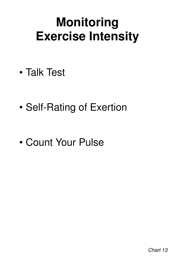### **Monitoring Exercise Intensity**

• Talk Test

#### • Self-Rating of Exertion

#### • Count Your Pulse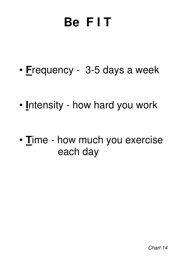

#### • **F**requency - 3-5 days a week

#### • **I**ntensity - how hard you work

#### • **T**ime - how much you exercise each day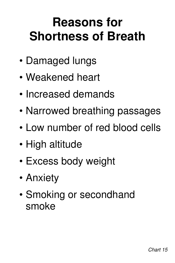### **Reasons for Shortness of Breath**

- Damaged lungs
- Weakened heart
- Increased demands
- Narrowed breathing passages
- Low number of red blood cells
- High altitude
- Excess body weight
- Anxiety

#### • Smoking or secondhand smoke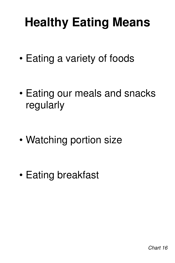## **Healthy Eating Means**

#### • Eating a variety of foods



#### • Eating our meals and snacks regularly

#### • Watching portion size

• Eating breakfast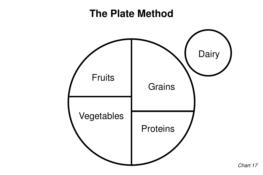

#### **The Plate Method**



#### Fruits

#### Vegetables

#### Grains

#### Proteins

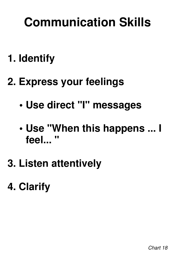#### **Communication Skills**

**1. Identify** 

#### **2. Express your feelings**

#### **• Use direct "I" messages**

#### **• Use "When this happens ... I feel... "**

#### **3. Listen attentively**

#### **4. Clarify**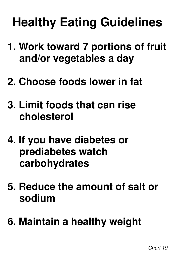## **Healthy Eating Guidelines**

#### **1. Work toward 7 portions of fruit and/or vegetables a day**

#### **2. Choose foods lower in fat**

#### **3. Limit foods that can rise cholesterol**

#### **4. If you have diabetes or prediabetes watch carbohydrates**

#### **5. Reduce the amount of salt or sodium**

#### **6. Maintain a healthy weight**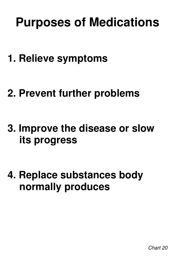### **Purposes of Medications**

#### **1. Relieve symptoms**

#### **2. Prevent further problems**

#### **3. Improve the disease or slow its progress**

#### **4. Replace substances body**

#### **normally produces**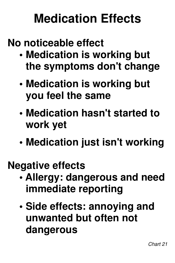#### **Medication Effects**

#### **No noticeable effect**

- **Medication is working but the symptoms don't change**
- **Medication is working but**

#### **you feel the same**

- **Medication hasn't started to work yet**
- **Medication just isn't working**

#### **Negative effects • Allergy: dangerous and need immediate reporting**

 **• Side effects: annoying and unwanted but often not dangerous**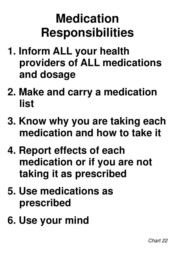### **Medication Responsibilities**

- **1. Inform ALL your health providers of ALL medications and dosage**
- 

#### **2. Make and carry a medication list**

- **3. Know why you are taking each medication and how to take it**
- **4. Report effects of each medication or if you are not taking it as prescribed**

#### **5. Use medications as prescribed**

#### **6. Use your mind**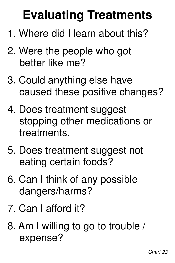## **Evaluating Treatments**

- 1. Where did I learn about this?
- 2. Were the people who got better like me?
- 3. Could anything else have

#### caused these positive changes?

- 4. Does treatment suggest stopping other medications or treatments.
- 5. Does treatment suggest not eating certain foods?

6. Can I think of any possible

### dangers/harms?

#### 7. Can I afford it?

#### 8. Am I willing to go to trouble / expense?

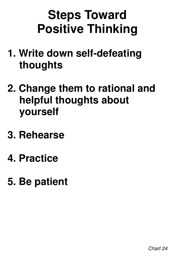### **Steps Toward Positive Thinking**

#### **1. Write down self-defeating thoughts**

#### **2. Change them to rational and helpful thoughts about yourself**

#### **3. Rehearse**

#### **4. Practice**

#### **5. Be patient**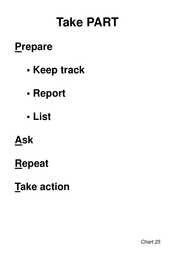#### **Take PART**

#### **Prepare**

#### **• Keep track**

#### **• Report**

#### **• List**



#### **Repeat**

#### **Take action**